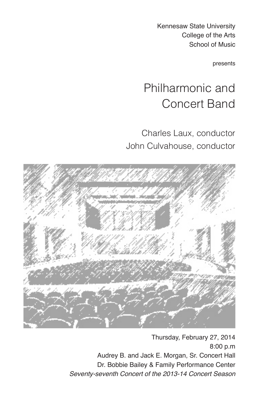Kennesaw State University College of the Arts School of Music

presents

# Philharmonic and Concert Band

Charles Laux, conductor John Culvahouse, conductor



Thursday, February 27, 2014 8:00 p.m Audrey B. and Jack E. Morgan, Sr. Concert Hall Dr. Bobbie Bailey & Family Performance Center *Seventy-seventh Concert of the 2013-14 Concert Season*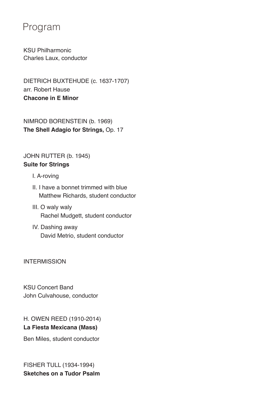### Program

KSU Philharmonic Charles Laux, conductor

DIETRICH BUXTEHUDE (c. 1637-1707) arr. Robert Hause **Chacone in E Minor**

NIMROD BORENSTEIN (b. 1969) **The Shell Adagio for Strings,** Op. 17

#### JOHN RUTTER (b. 1945) **Suite for Strings**

- I. A-roving
- II. I have a bonnet trimmed with blue Matthew Richards, student conductor
- III. O waly waly Rachel Mudgett, student conductor
- IV. Dashing away David Metrio, student conductor

**INTERMISSION** 

KSU Concert Band John Culvahouse, conductor

H. OWEN REED (1910-2014) **La Fiesta Mexicana (Mass)**

Ben Miles, student conductor

FISHER TULL (1934-1994) **Sketches on a Tudor Psalm**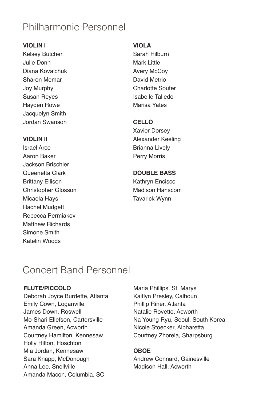## Philharmonic Personnel

#### **VIOLIN I**

Kelsey Butcher Julie Donn Diana Kovalchuk Sharon Memar Joy Murphy Susan Reyes Hayden Rowe Jacquelyn Smith Jordan Swanson

#### **VIOLIN II**

Israel Arce Aaron Baker Jackson Brischler Queenetta Clark Brittany Ellison Christopher Glosson Micaela Hays Rachel Mudgett Rebecca Permiakov Matthew Richards Simone Smith Katelin Woods

#### **VIOLA**

Sarah Hilburn Mark Little Avery McCoy David Metrio Charlotte Souter Isabelle Talledo Marisa Yates

#### **CELLO**

Xavier Dorsey Alexander Keeling Brianna Lively Perry Morris

#### **DOUBLE BASS**

Kathryn Encisco Madison Hanscom Tavarick Wynn

### Concert Band Personnel

#### **FLUTE/PICCOLO**

Deborah Joyce Burdette, Atlanta Emily Cown, Loganville James Down, Roswell Mo-Shari Ellefson, Cartersville Amanda Green, Acworth Courtney Hamilton, Kennesaw Holly Hilton, Hoschton Mia Jordan, Kennesaw Sara Knapp, McDonough Anna Lee, Snellville Amanda Macon, Columbia, SC

Maria Phillips, St. Marys Kaitlyn Presley, Calhoun Phillip Riner, Atlanta Natalie Rovetto, Acworth Na Young Ryu, Seoul, South Korea Nicole Stoecker, Alpharetta Courtney Zhorela, Sharpsburg

#### **OBOE**

Andrew Connard, Gainesville Madison Hall, Acworth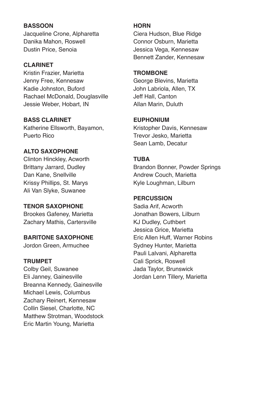#### **BASSOON**

Jacqueline Crone, Alpharetta Danika Mahon, Roswell Dustin Price, Senoia

#### **CLARINET**

Kristin Frazier, Marietta Jenny Free, Kennesaw Kadie Johnston, Buford Rachael McDonald, Douglasville Jessie Weber, Hobart, IN

**BASS CLARINET** Katherine Ellsworth, Bayamon,

Puerto Rico

#### **ALTO SAXOPHONE**

Clinton Hinckley, Acworth Brittany Jarrard, Dudley Dan Kane, Snellville Krissy Phillips, St. Marys Ali Van Slyke, Suwanee

#### **TENOR SAXOPHONE**

Brookes Gafeney, Marietta Zachary Mathis, Cartersville

#### **BARITONE SAXOPHONE**

Jordon Green, Armuchee

#### **TRUMPET**

Colby Geil, Suwanee Eli Janney, Gainesville Breanna Kennedy, Gainesville Michael Lewis, Columbus Zachary Reinert, Kennesaw Collin Siesel, Charlotte, NC Matthew Strotman, Woodstock Eric Martin Young, Marietta

#### **HORN**

Ciera Hudson, Blue Ridge Connor Osburn, Marietta Jessica Vega, Kennesaw Bennett Zander, Kennesaw

#### **TROMBONE**

George Blevins, Marietta John Labriola, Allen, TX Jeff Hall, Canton Allan Marin, Duluth

#### **EUPHONIUM**

Kristopher Davis, Kennesaw Trevor Jesko, Marietta Sean Lamb, Decatur

#### **TUBA**

Brandon Bonner, Powder Springs Andrew Couch, Marietta Kyle Loughman, Lilburn

#### **PERCUSSION**

Sadia Arif, Acworth Jonathan Bowers, Lilburn KJ Dudley, Cuthbert Jessica Grice, Marietta Eric Allen Huff, Warner Robins Sydney Hunter, Marietta Pauli Lalvani, Alpharetta Cali Sprick, Roswell Jada Taylor, Brunswick Jordan Lenn Tillery, Marietta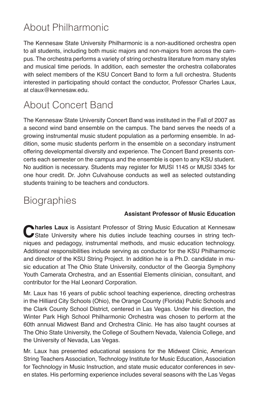## About Philharmonic

The Kennesaw State University Philharmonic is a non-auditioned orchestra open to all students, including both music majors and non-majors from across the campus. The orchestra performs a variety of string orchestra literature from many styles and musical time periods. In addition, each semester the orchestra collaborates with select members of the KSU Concert Band to form a full orchestra. Students interested in participating should contact the conductor, Professor Charles Laux, at claux@kennesaw.edu.

## About Concert Band

The Kennesaw State University Concert Band was instituted in the Fall of 2007 as a second wind band ensemble on the campus. The band serves the needs of a growing instrumental music student population as a performing ensemble. In addition, some music students perform in the ensemble on a secondary instrument offering developmental diversity and experience. The Concert Band presents concerts each semester on the campus and the ensemble is open to any KSU student. No audition is necessary. Students may register for MUSI 1145 or MUSI 3345 for one hour credit. Dr. John Culvahouse conducts as well as selected outstanding students training to be teachers and conductors.

## **Biographies**

#### **Assistant Professor of Music Education**

**Charles Laux** is Assistant Professor of String Music Education at Kennesaw State University where his duties include teaching courses in string techniques and pedagogy, instrumental methods, and music education technology. Additional responsibilities include serving as conductor for the KSU Philharmonic and director of the KSU String Project. In addition he is a Ph.D. candidate in music education at The Ohio State University, conductor of the Georgia Symphony Youth Camerata Orchestra, and an Essential Elements clinician, consultant, and contributor for the Hal Leonard Corporation.

Mr. Laux has 16 years of public school teaching experience, directing orchestras in the Hilliard City Schools (Ohio), the Orange County (Florida) Public Schools and the Clark County School District, centered in Las Vegas. Under his direction, the Winter Park High School Philharmonic Orchestra was chosen to perform at the 60th annual Midwest Band and Orchestra Clinic. He has also taught courses at The Ohio State University, the College of Southern Nevada, Valencia College, and the University of Nevada, Las Vegas.

Mr. Laux has presented educational sessions for the Midwest Clinic, American String Teachers Association, Technology Institute for Music Education, Association for Technology in Music Instruction, and state music educator conferences in seven states. His performing experience includes several seasons with the Las Vegas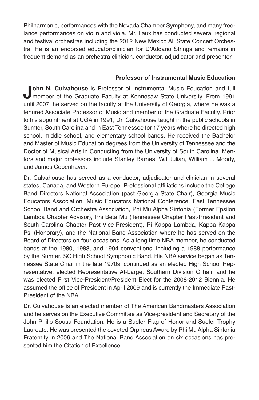Philharmonic, performances with the Nevada Chamber Symphony, and many freelance performances on violin and viola. Mr. Laux has conducted several regional and festival orchestras including the 2012 New Mexico All State Concert Orchestra. He is an endorsed educator/clinician for D'Addario Strings and remains in frequent demand as an orchestra clinician, conductor, adjudicator and presenter.

#### **Professor of Instrumental Music Education**

**John N. Culvahouse** is Professor of Instrumental Music Education and full member of the Graduate Faculty at Kennesaw State University. From 1991 until 2007, he served on the faculty at the University of Georgia, where he was a tenured Associate Professor of Music and member of the Graduate Faculty. Prior to his appointment at UGA in 1991, Dr. Culvahouse taught in the public schools in Sumter, South Carolina and in East Tennessee for 17 years where he directed high school, middle school, and elementary school bands. He received the Bachelor and Master of Music Education degrees from the University of Tennessee and the Doctor of Musical Arts in Conducting from the University of South Carolina. Mentors and major professors include Stanley Barnes, WJ Julian, William J. Moody, and James Copenhaver.

Dr. Culvahouse has served as a conductor, adjudicator and clinician in several states, Canada, and Western Europe. Professional affiliations include the College Band Directors National Association (past Georgia State Chair), Georgia Music Educators Association, Music Educators National Conference, East Tennessee School Band and Orchestra Association, Phi Mu Alpha Sinfonia (Former Epsilon Lambda Chapter Advisor), Phi Beta Mu (Tennessee Chapter Past-President and South Carolina Chapter Past-Vice-President), Pi Kappa Lambda, Kappa Kappa Psi (Honorary), and the National Band Association where he has served on the Board of Directors on four occasions. As a long time NBA member, he conducted bands at the 1980, 1988, and 1994 conventions, including a 1988 performance by the Sumter, SC High School Symphonic Band. His NBA service began as Tennessee State Chair in the late 1970s, continued as an elected High School Representative, elected Representative At-Large, Southern Division C hair, and he was elected First Vice-President/President Elect for the 2008-2012 Biennia. He assumed the office of President in April 2009 and is currently the Immediate Past-President of the NBA.

Dr. Culvahouse is an elected member of The American Bandmasters Association and he serves on the Executive Committee as Vice-president and Secretary of the John Philip Sousa Foundation. He is a Sudler Flag of Honor and Sudler Trophy Laureate. He was presented the coveted Orpheus Award by Phi Mu Alpha Sinfonia Fraternity in 2006 and The National Band Association on six occasions has presented him the Citation of Excellence.